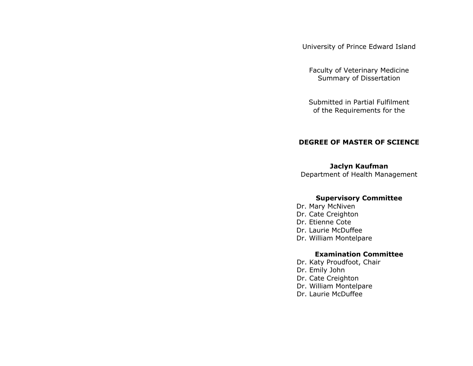University of Prince Edward Island

Faculty of Veterinary Medicine Summary of Dissertation

Submitted in Partial Fulfilment of the Requirements for the

## **DEGREE OF MASTER OF SCIENCE**

#### **Jaclyn Kaufman**

Department of Health Management

#### **Supervisory Committee**

Dr. Mary McNiven Dr. Cate Creighton Dr. Etienne Cote Dr. Laurie McDuffee Dr. William Montelpare

## **Examination Committee**

Dr. Katy Proudfoot, Chair Dr. Emily John Dr. Cate Creighton Dr. William Montelpare Dr. Laurie McDuffee